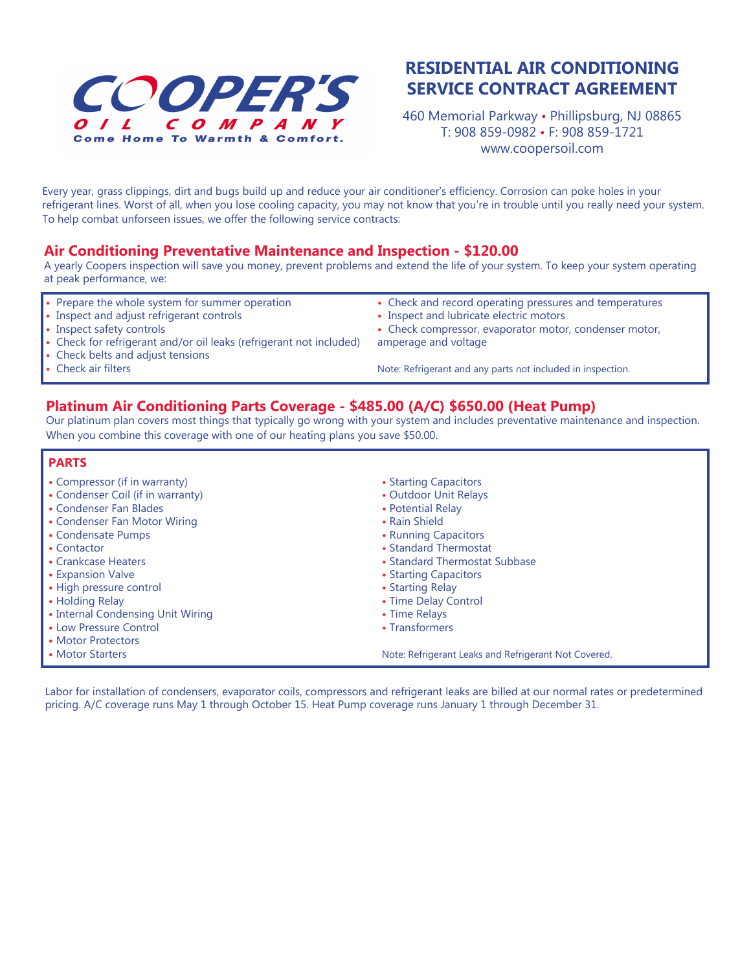

## **RESIDENTIAL AIR CONDITIONING SERVICE CONTRACT AGREEMENT**

460 Memorial Parkway • Phillipsburg, NJ 08865 T: 908 859-0982 • F: 908 859-1721 www.coopersoil.com

Every year, grass clippings, dirt and bugs build up and reduce your air conditioner's efficiency. Corrosion can poke holes in your refrigerant lines. Worst of all, when you lose cooling capacity, you may not know that you're in trouble until you really need your system. To help combat unforseen issues, we offer the following service contracts:

## **Air Conditioning Preventative Maintenance and Inspection - \$120.00**

A yearly Coopers inspection will save you money, prevent problems and extend the life of your system. To keep your system operating at peak performance, we:

- Prepare the whole system for summer operation
- Inspect and adjust refrigerant controls
- Inspect safety controls

**•** Check air filters

- **•** Check for refrigerant and/or oil leaks (refrigerant not included)
- **•** Inspect and lubricate electric motors **•** Check compressor, evaporator motor, condenser motor,
- amperage and voltage

**•** Check belts and adjust tensions

Note: Refrigerant and any parts not included in inspection.

**•** Check and record operating pressures and temperatures

**Platinum Air Conditioning Parts Coverage - \$485.00 (A/C) \$650.00 (Heat Pump)**

Our platinum plan covers most things that typically go wrong with your system and includes preventative maintenance and inspection. When you combine this coverage with one of our heating plans you save \$50.00.

## **PARTS**

- **•** Compressor (if in warranty)
- Condenser Coil (if in warranty)
- Condenser Fan Blades
- Condenser Fan Motor Wiring
- Condensate Pumps
- Contactor
- Crankcase Heaters
- Expansion Valve
- High pressure control
- Holding Relay
- Internal Condensing Unit Wiring
- **•** Low Pressure Control
- Motor Protectors
- Motor Starters
- Starting Capacitors
- Outdoor Unit Relays
- Potential Relay
- Rain Shield
- Running Capacitors
- Standard Thermostat
- Standard Thermostat Subbase
- **•** Starting Capacitors
- Starting Relay
- Time Delay Control
- Time Relays
- Transformers

Note: Refrigerant Leaks and Refrigerant Not Covered.

Labor for installation of condensers, evaporator coils, compressors and refrigerant leaks are billed at our normal rates or predetermined pricing. A/C coverage runs May 1 through October 15. Heat Pump coverage runs January 1 through December 31.